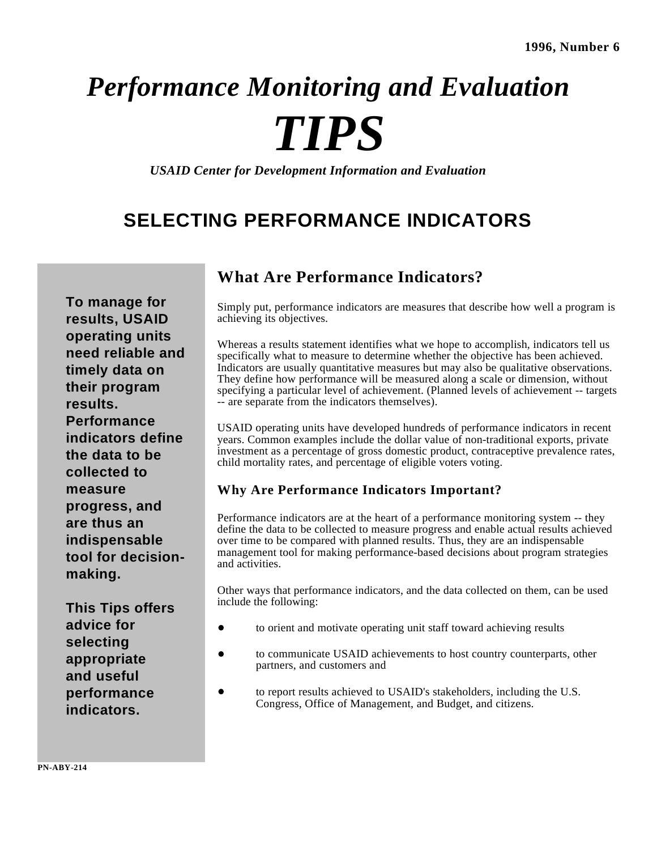# *Performance Monitoring and Evaluation TIPS*

*USAID Center for Development Information and Evaluation*

## **SELECTING PERFORMANCE INDICATORS**

**To manage for results, USAID operating units need reliable and timely data on their program results. Performance indicators define the data to be collected to measure progress, and are thus an indispensable tool for decisionmaking.** 

**This Tips offers advice for selecting appropriate and useful performance indicators.** 

#### **What Are Performance Indicators?**

Simply put, performance indicators are measures that describe how well a program is achieving its objectives.

Whereas a results statement identifies what we hope to accomplish, indicators tell us specifically what to measure to determine whether the objective has been achieved. Indicators are usually quantitative measures but may also be qualitative observations. They define how performance will be measured along a scale or dimension, without specifying a particular level of achievement. (Planned levels of achievement -- targets -- are separate from the indicators themselves).

USAID operating units have developed hundreds of performance indicators in recent years. Common examples include the dollar value of non-traditional exports, private investment as a percentage of gross domestic product, contraceptive prevalence rates, child mortality rates, and percentage of eligible voters voting.

#### **Why Are Performance Indicators Important?**

Performance indicators are at the heart of a performance monitoring system -- they define the data to be collected to measure progress and enable actual results achieved over time to be compared with planned results. Thus, they are an indispensable management tool for making performance-based decisions about program strategies and activities.

Other ways that performance indicators, and the data collected on them, can be used include the following:

- to orient and motivate operating unit staff toward achieving results
- to communicate USAID achievements to host country counterparts, other  $\bullet$ partners, and customers and
- to report results achieved to USAID's stakeholders, including the U.S. Congress, Office of Management, and Budget, and citizens.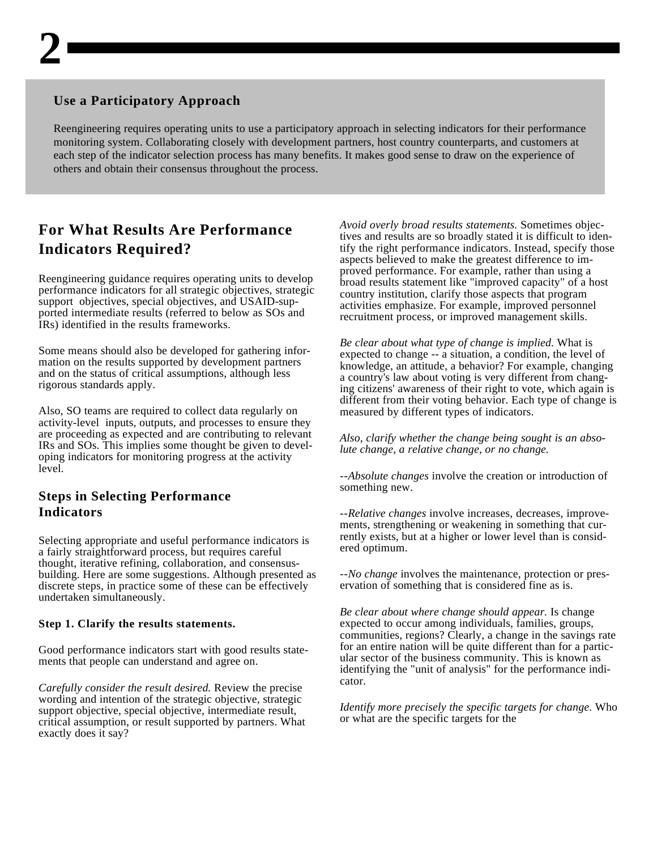#### **Use a Participatory Approach**

Reengineering requires operating units to use a participatory approach in selecting indicators for their performance monitoring system. Collaborating closely with development partners, host country counterparts, and customers at each step of the indicator selection process has many benefits. It makes good sense to draw on the experience of others and obtain their consensus throughout the process.

### **For What Results Are Performance Indicators Required?**

Reengineering guidance requires operating units to develop performance indicators for all strategic objectives, strategic support objectives, special objectives, and USAID-supported intermediate results (referred to below as SOs and IRs) identified in the results frameworks.

Some means should also be developed for gathering information on the results supported by development partners and on the status of critical assumptions, although less rigorous standards apply.

Also, SO teams are required to collect data regularly on activity-level inputs, outputs, and processes to ensure they are proceeding as expected and are contributing to relevant IRs and SOs. This implies some thought be given to developing indicators for monitoring progress at the activity level.

#### **Steps in Selecting Performance Indicators**

Selecting appropriate and useful performance indicators is a fairly straightforward process, but requires careful thought, iterative refining, collaboration, and consensusbuilding. Here are some suggestions. Although presented as discrete steps, in practice some of these can be effectively undertaken simultaneously.

#### **Step 1. Clarify the results statements.**

Good performance indicators start with good results statements that people can understand and agree on.

*Carefully consider the result desired.* Review the precise wording and intention of the strategic objective, strategic support objective, special objective, intermediate result, critical assumption, or result supported by partners. What exactly does it say?

*Avoid overly broad results statements.* Sometimes objectives and results are so broadly stated it is difficult to identify the right performance indicators. Instead, specify those aspects believed to make the greatest difference to improved performance. For example, rather than using a broad results statement like "improved capacity" of a host country institution, clarify those aspects that program activities emphasize. For example, improved personnel recruitment process, or improved management skills.

*Be clear about what type of change is implied.* What is expected to change -- a situation, a condition, the level of knowledge, an attitude, a behavior? For example, changing a country's law about voting is very different from changing citizens' awareness of their right to vote, which again is different from their voting behavior. Each type of change is measured by different types of indicators.

*Also, clarify whether the change being sought is an absolute change, a relative change, or no change.* 

--*Absolute changes* involve the creation or introduction of something new.

--*Relative changes* involve increases, decreases, improvements, strengthening or weakening in something that currently exists, but at a higher or lower level than is considered optimum.

--*No change* involves the maintenance, protection or preservation of something that is considered fine as is.

*Be clear about where change should appear.* Is change expected to occur among individuals, families, groups, communities, regions? Clearly, a change in the savings rate for an entire nation will be quite different than for a particular sector of the business community. This is known as identifying the "unit of analysis" for the performance indicator.

*Identify more precisely the specific targets for change.* Who or what are the specific targets for the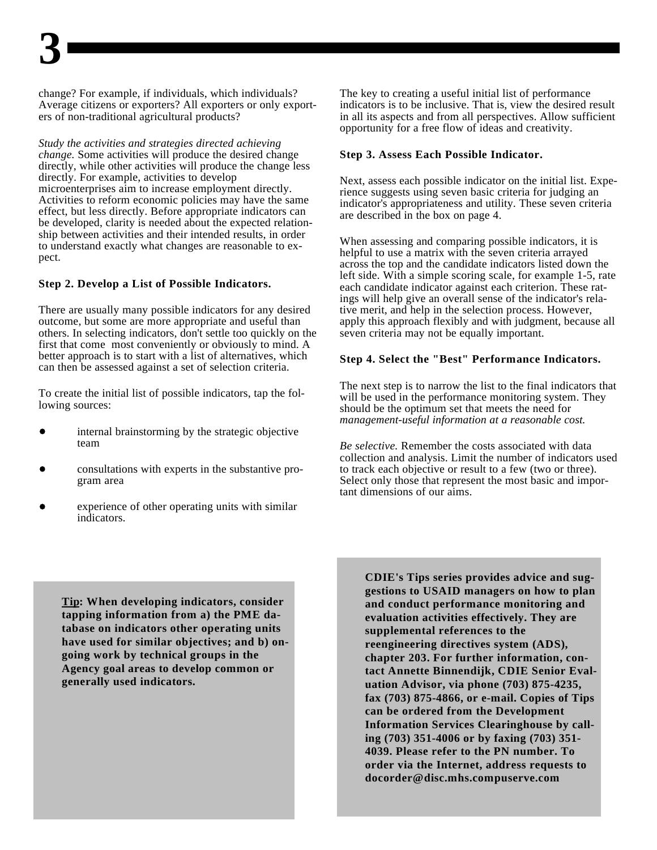change? For example, if individuals, which individuals? The key to creating a useful initial list of performance Average citizens or exporters? All exporters or only export- indicators is to be inclusive. That is, view the desired result ers of non-traditional agricultural products? in all its aspects and from all perspectives. Allow sufficient

*Study the activities and strategies directed achieving change.* Some activities will produce the desired change **Step 3. Assess Each Possible Indicator.** directly, while other activities will produce the change less directly. For example, activities to develop microenterprises aim to increase employment directly. Activities to reform economic policies may have the same effect, but less directly. Before appropriate indicators can be developed, clarity is needed about the expected relationship between activities and their intended results, in order to understand exactly what changes are reasonable to expect.

#### **Step 2. Develop a List of Possible Indicators.**

There are usually many possible indicators for any desired tive merit, and help in the selection process. However, outcome, but some are more appropriate and useful than apply this approach flexibly and with judgment, because all others. In selecting indicators, don't settle too quickly on the seven criteria may not be equally important. first that come most conveniently or obviously to mind. A better approach is to start with a list of alternatives, which can then be assessed against a set of selection criteria.

To create the initial list of possible indicators, tap the following sources:

- internal brainstorming by the strategic objective team
- 
- experience of other operating units with similar indicators.

opportunity for a free flow of ideas and creativity.

Next, assess each possible indicator on the initial list. Experience suggests using seven basic criteria for judging an indicator's appropriateness and utility. These seven criteria are described in the box on page 4.

When assessing and comparing possible indicators, it is helpful to use a matrix with the seven criteria arrayed across the top and the candidate indicators listed down the left side. With a simple scoring scale, for example 1-5, rate each candidate indicator against each criterion. These ratings will help give an overall sense of the indicator's rela-

#### **Step 4. Select the "Best" Performance Indicators.**

The next step is to narrow the list to the final indicators that will be used in the performance monitoring system. They should be the optimum set that meets the need for *management-useful information at a reasonable cost.*

consultations with experts in the substantive pro- to track each objective or result to a few (two or three). gram area Select only those that represent the most basic and impor-*Be selective.* Remember the costs associated with data collection and analysis. Limit the number of indicators used tant dimensions of our aims.

**Tip: When developing indicators, consider tapping information from a) the PME database on indicators other operating units have used for similar objectives; and b) ongoing work by technical groups in the Agency goal areas to develop common or generally used indicators.** 

**CDIE's Tips series provides advice and suggestions to USAID managers on how to plan and conduct performance monitoring and evaluation activities effectively. They are supplemental references to the reengineering directives system (ADS), chapter 203. For further information, contact Annette Binnendijk, CDIE Senior Evaluation Advisor, via phone (703) 875-4235, fax (703) 875-4866, or e-mail. Copies of Tips can be ordered from the Development Information Services Clearinghouse by calling (703) 351-4006 or by faxing (703) 351- 4039. Please refer to the PN number. To order via the Internet, address requests to docorder@disc.mhs.compuserve.com**